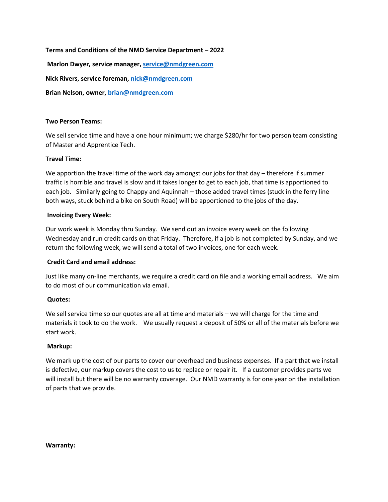### **Terms and Conditions of the NMD Service Department – 2022**

**Marlon Dwyer, service manager[, service@nmdgreen.com](mailto:service@nmdgreen.com)**

**Nick Rivers, service foreman, [nick@nmdgreen.com](mailto:nick@nmdgreen.com)**

**Brian Nelson, owner, [brian@nmdgreen.com](mailto:brian@nmdgreen.com)**

### **Two Person Teams:**

We sell service time and have a one hour minimum; we charge \$280/hr for two person team consisting of Master and Apprentice Tech.

## **Travel Time:**

We apportion the travel time of the work day amongst our jobs for that day – therefore if summer traffic is horrible and travel is slow and it takes longer to get to each job, that time is apportioned to each job. Similarly going to Chappy and Aquinnah – those added travel times (stuck in the ferry line both ways, stuck behind a bike on South Road) will be apportioned to the jobs of the day.

### **Invoicing Every Week:**

Our work week is Monday thru Sunday. We send out an invoice every week on the following Wednesday and run credit cards on that Friday. Therefore, if a job is not completed by Sunday, and we return the following week, we will send a total of two invoices, one for each week.

### **Credit Card and email address:**

Just like many on-line merchants, we require a credit card on file and a working email address. We aim to do most of our communication via email.

# **Quotes:**

We sell service time so our quotes are all at time and materials – we will charge for the time and materials it took to do the work. We usually request a deposit of 50% or all of the materials before we start work.

### **Markup:**

We mark up the cost of our parts to cover our overhead and business expenses. If a part that we install is defective, our markup covers the cost to us to replace or repair it. If a customer provides parts we will install but there will be no warranty coverage. Our NMD warranty is for one year on the installation of parts that we provide.

**Warranty:**